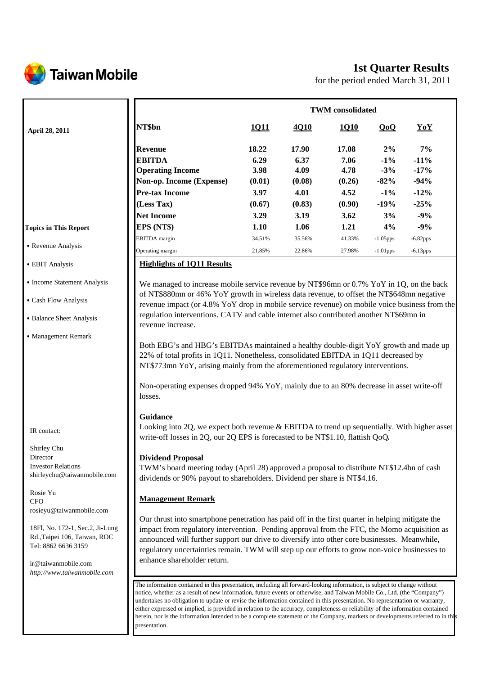

# **1st Quarter Results**

for the period ended March 31, 2011

|                                                                                                                                                                                                                                                                                                          |                                                                                                                                                                                                                                                                                                                                                                                                                                                                                                                                                                                                                                                                                                                                                                                                                                                                | <b>TWM</b> consolidated                                   |                                                           |                                                           |                                                           |                                                               |  |
|----------------------------------------------------------------------------------------------------------------------------------------------------------------------------------------------------------------------------------------------------------------------------------------------------------|----------------------------------------------------------------------------------------------------------------------------------------------------------------------------------------------------------------------------------------------------------------------------------------------------------------------------------------------------------------------------------------------------------------------------------------------------------------------------------------------------------------------------------------------------------------------------------------------------------------------------------------------------------------------------------------------------------------------------------------------------------------------------------------------------------------------------------------------------------------|-----------------------------------------------------------|-----------------------------------------------------------|-----------------------------------------------------------|-----------------------------------------------------------|---------------------------------------------------------------|--|
| April 28, 2011                                                                                                                                                                                                                                                                                           | NT\$bn                                                                                                                                                                                                                                                                                                                                                                                                                                                                                                                                                                                                                                                                                                                                                                                                                                                         | 1011                                                      | 4Q10                                                      | <u>1Q10</u>                                               | QoQ                                                       | YoY                                                           |  |
|                                                                                                                                                                                                                                                                                                          | <b>Revenue</b><br><b>EBITDA</b><br><b>Operating Income</b><br>Non-op. Income (Expense)<br><b>Pre-tax Income</b><br>(Less Tax)<br><b>Net Income</b>                                                                                                                                                                                                                                                                                                                                                                                                                                                                                                                                                                                                                                                                                                             | 18.22<br>6.29<br>3.98<br>(0.01)<br>3.97<br>(0.67)<br>3.29 | 17.90<br>6.37<br>4.09<br>(0.08)<br>4.01<br>(0.83)<br>3.19 | 17.08<br>7.06<br>4.78<br>(0.26)<br>4.52<br>(0.90)<br>3.62 | 2%<br>$-1\%$<br>$-3%$<br>$-82%$<br>$-1\%$<br>$-19%$<br>3% | 7%<br>$-11%$<br>$-17%$<br>$-94%$<br>$-12%$<br>$-25%$<br>$-9%$ |  |
| <b>Topics in This Report</b>                                                                                                                                                                                                                                                                             | EPS (NT\$)                                                                                                                                                                                                                                                                                                                                                                                                                                                                                                                                                                                                                                                                                                                                                                                                                                                     | 1.10                                                      | 1.06                                                      | 1.21                                                      | 4%                                                        | $-9%$                                                         |  |
| • Revenue Analysis                                                                                                                                                                                                                                                                                       | <b>EBITDA</b> margin<br>Operating margin                                                                                                                                                                                                                                                                                                                                                                                                                                                                                                                                                                                                                                                                                                                                                                                                                       | 34.51%<br>21.85%                                          | 35.56%<br>22.86%                                          | 41.33%<br>27.98%                                          | $-1.05$ pps<br>$-1.01$ pps                                | $-6.82$ pps<br>$-6.13$ pps                                    |  |
| • EBIT Analysis                                                                                                                                                                                                                                                                                          | <b>Highlights of 1Q11 Results</b>                                                                                                                                                                                                                                                                                                                                                                                                                                                                                                                                                                                                                                                                                                                                                                                                                              |                                                           |                                                           |                                                           |                                                           |                                                               |  |
| • Income Statement Analysis<br>• Cash Flow Analysis<br>• Balance Sheet Analysis<br>• Management Remark                                                                                                                                                                                                   | We managed to increase mobile service revenue by NT\$96mn or 0.7% YoY in 1Q, on the back<br>of NT\$880mn or 46% YoY growth in wireless data revenue, to offset the NT\$648mn negative<br>revenue impact (or 4.8% YoY drop in mobile service revenue) on mobile voice business from the<br>regulation interventions. CATV and cable internet also contributed another NT\$69mn in<br>revenue increase.<br>Both EBG's and HBG's EBITDAs maintained a healthy double-digit YoY growth and made up<br>22% of total profits in 1Q11. Nonetheless, consolidated EBITDA in 1Q11 decreased by<br>NT\$773mn YoY, arising mainly from the aforementioned regulatory interventions.<br>Non-operating expenses dropped 94% YoY, mainly due to an 80% decrease in asset write-off<br>losses.                                                                                |                                                           |                                                           |                                                           |                                                           |                                                               |  |
| IR contact:<br>Shirley Chu<br>Director<br><b>Investor Relations</b><br>shirleychu@taiwanmobile.com<br>Rosie Yu<br><b>CFO</b><br>rosieyu@taiwanmobile.com<br>18Fl, No. 172-1, Sec.2, Ji-Lung<br>Rd., Taipei 106, Taiwan, ROC<br>Tel: 8862 6636 3159<br>ir@taiwanmobile.com<br>http://www.taiwanmobile.com | Guidance<br>Looking into 2Q, we expect both revenue & EBITDA to trend up sequentially. With higher asset<br>write-off losses in 2Q, our 2Q EPS is forecasted to be NT\$1.10, flattish QoQ.<br><b>Dividend Proposal</b><br>TWM's board meeting today (April 28) approved a proposal to distribute NT\$12.4bn of cash<br>dividends or 90% payout to shareholders. Dividend per share is NT\$4.16.<br><b>Management Remark</b><br>Our thrust into smartphone penetration has paid off in the first quarter in helping mitigate the<br>impact from regulatory intervention. Pending approval from the FTC, the Momo acquisition as<br>announced will further support our drive to diversify into other core businesses. Meanwhile,<br>regulatory uncertainties remain. TWM will step up our efforts to grow non-voice businesses to<br>enhance shareholder return. |                                                           |                                                           |                                                           |                                                           |                                                               |  |
|                                                                                                                                                                                                                                                                                                          | The information contained in this presentation, including all forward-looking information, is subject to change without<br>notice, whether as a result of new information, future events or otherwise, and Taiwan Mobile Co., Ltd. (the "Company")<br>undertakes no obligation to update or revise the information contained in this presentation. No representation or warranty,<br>either expressed or implied, is provided in relation to the accuracy, completeness or reliability of the information contained<br>herein, nor is the information intended to be a complete statement of the Company, markets or developments referred to in this<br>presentation.                                                                                                                                                                                         |                                                           |                                                           |                                                           |                                                           |                                                               |  |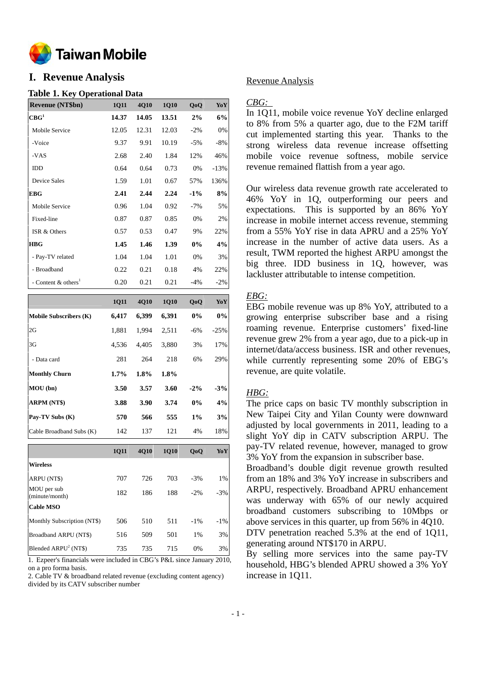

# **I. Revenue Analysis**

#### **Table 1. Key Operational Data**

| <b>Revenue (NT\$bn)</b>           | 1Q11  | 4Q10  | 1Q10  | QoQ    | YoY                                                                    |
|-----------------------------------|-------|-------|-------|--------|------------------------------------------------------------------------|
| CBG <sup>1</sup>                  | 14.37 | 14.05 | 13.51 | 2%     | 6%                                                                     |
| Mobile Service                    | 12.05 | 12.31 | 12.03 | $-2%$  | 0%                                                                     |
| -Voice                            | 9.37  | 9.91  | 10.19 | $-5%$  | $-8%$                                                                  |
| -VAS                              | 2.68  | 2.40  | 1.84  | 12%    | 46%                                                                    |
| IDD                               | 0.64  | 0.64  | 0.73  | 0%     | $-13%$                                                                 |
| Device Sales                      | 1.59  | 1.01  | 0.67  | 57%    | 136%                                                                   |
| <b>EBG</b>                        | 2.41  | 2.44  | 2.24  | $-1\%$ | 8%                                                                     |
| Mobile Service                    | 0.96  | 1.04  | 0.92  | $-7%$  | 5%                                                                     |
| Fixed-line                        | 0.87  | 0.87  | 0.85  | 0%     | 2%                                                                     |
| ISR & Others                      | 0.57  | 0.53  | 0.47  | 9%     | 22%                                                                    |
| <b>HBG</b>                        | 1.45  | 1.46  | 1.39  | $0\%$  | 4%                                                                     |
| - Pay-TV related                  | 1.04  | 1.04  | 1.01  | 0%     | 3%                                                                     |
| - Broadband                       | 0.22  | 0.21  | 0.18  | 4%     | 22%                                                                    |
| - Content $&$ others <sup>1</sup> | 0.20  | 0.21  | 0.21  | $-4%$  | $-2\%$                                                                 |
|                                   | 1Q11  | 4Q10  | 1Q10  | QoQ    | YoY                                                                    |
|                                   |       |       |       |        |                                                                        |
| <b>Mobile Subscribers (K)</b>     | 6,417 | 6,399 | 6,391 | 0%     |                                                                        |
| 2G                                | 1,881 | 1,994 | 2,511 | $-6%$  |                                                                        |
| 3G                                | 4,536 | 4,405 | 3,880 | 3%     |                                                                        |
| - Data card                       | 281   | 264   | 218   | 6%     |                                                                        |
| <b>Monthly Churn</b>              | 1.7%  | 1.8%  | 1.8%  |        |                                                                        |
| MOU(bn)                           | 3.50  | 3.57  | 3.60  | $-2\%$ |                                                                        |
| ARPM (NT\$)                       | 3.88  | 3.90  | 3.74  | 0%     |                                                                        |
| Pay-TV Subs (K)                   | 570   | 566   | 555   | $1\%$  |                                                                        |
| Cable Broadband Subs (K)          | 142   | 137   | 121   | 4%     |                                                                        |
|                                   | 1Q11  | 4Q10  | 1Q10  | QoQ    |                                                                        |
| <b>Wireless</b>                   |       |       |       |        |                                                                        |
| ARPU (NT\$)                       | 707   | 726   | 703   | $-3%$  | $0\%$<br>$-25%$<br>17%<br>29%<br>$-3%$<br>4%<br>3%<br>18%<br>YoY<br>1% |

| ARPU (NTS)                    | 707 | 726 | 703 | $-3\%$ | $1\%$  |
|-------------------------------|-----|-----|-----|--------|--------|
| MOU per sub<br>(minute/month) | 182 | 186 | 188 | $-2\%$ | $-3%$  |
| <b>Cable MSO</b>              |     |     |     |        |        |
| Monthly Subscription (NT\$)   | 506 | 510 | 511 | $-1\%$ | $-1\%$ |
| Broadband ARPU (NT\$)         | 516 | 509 | 501 | $1\%$  | 3%     |
| Blended $ARPU2 (NT$)$         | 735 | 735 | 715 | $0\%$  | 3%     |

1. Ezpeer's financials were included in CBG's P&L since January 2010, on a pro forma basis.

2. Cable TV & broadband related revenue (excluding content agency) divided by its CATV subscriber number

#### Revenue Analysis

#### *CBG:*

In 1Q11, mobile voice revenue YoY decline enlarged to 8% from 5% a quarter ago, due to the F2M tariff cut implemented starting this year. Thanks to the strong wireless data revenue increase offsetting mobile voice revenue softness, mobile service revenue remained flattish from a year ago.

Our wireless data revenue growth rate accelerated to 46% YoY in 1Q, outperforming our peers and expectations. This is supported by an 86% YoY increase in mobile internet access revenue, stemming from a 55% YoY rise in data APRU and a 25% YoY increase in the number of active data users. As a result, TWM reported the highest ARPU amongst the big three. IDD business in 1Q, however, was lackluster attributable to intense competition.

## *EBG:*

EBG mobile revenue was up 8% YoY, attributed to a growing enterprise subscriber base and a rising roaming revenue. Enterprise customers' fixed-line revenue grew 2% from a year ago, due to a pick-up in internet/data/access business. ISR and other revenues, while currently representing some 20% of EBG's revenue, are quite volatile.

## *HBG:*

The price caps on basic TV monthly subscription in New Taipei City and Yilan County were downward adjusted by local governments in 2011, leading to a slight YoY dip in CATV subscription ARPU. The pay-TV related revenue, however, managed to grow 3% YoY from the expansion in subscriber base.

Broadband's double digit revenue growth resulted from an 18% and 3% YoY increase in subscribers and ARPU, respectively. Broadband APRU enhancement was underway with 65% of our newly acquired broadband customers subscribing to 10Mbps or above services in this quarter, up from 56% in 4Q10. DTV penetration reached 5.3% at the end of 1011,

generating around NT\$170 in ARPU.

By selling more services into the same pay-TV household, HBG's blended APRU showed a 3% YoY increase in 1Q11.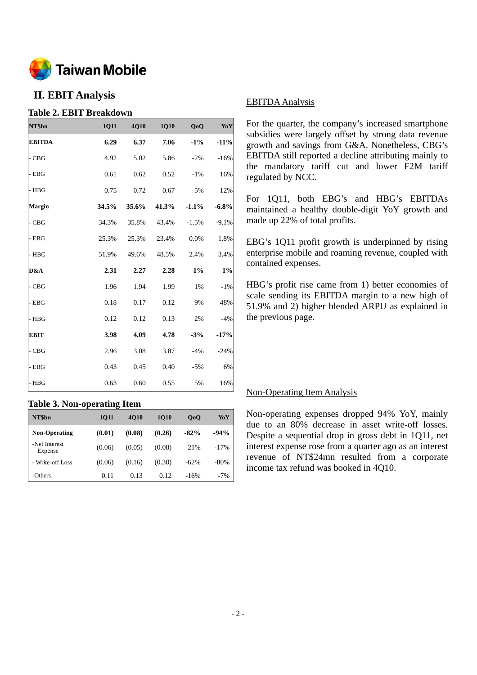

# **II. EBIT Analysis**

## **Table 2. EBIT Breakdown**

| NT\$bn        | 1Q11  | 4Q10  | 1Q10  | QoQ     | Yo Y    |
|---------------|-------|-------|-------|---------|---------|
| <b>EBITDA</b> | 6.29  | 6.37  | 7.06  | $-1\%$  | $-11%$  |
| $-CBG$        | 4.92  | 5.02  | 5.86  | $-2\%$  | $-16%$  |
| - EBG         | 0.61  | 0.62  | 0.52  | $-1\%$  | 16%     |
| - HBG         | 0.75  | 0.72  | 0.67  | 5%      | 12%     |
| Margin        | 34.5% | 35.6% | 41.3% | $-1.1%$ | $-6.8%$ |
| $-CBG$        | 34.3% | 35.8% | 43.4% | $-1.5%$ | $-9.1%$ |
| - EBG         | 25.3% | 25.3% | 23.4% | 0.0%    | 1.8%    |
| $-$ HBG       | 51.9% | 49.6% | 48.5% | 2.4%    | 3.4%    |
| D&A           | 2.31  | 2.27  | 2.28  | $1\%$   | $1\%$   |
| $-CBG$        | 1.96  | 1.94  | 1.99  | 1%      | $-1%$   |
| - EBG         | 0.18  | 0.17  | 0.12  | 9%      | 48%     |
| - HBG         | 0.12  | 0.12  | 0.13  | 2%      | $-4%$   |
| <b>EBIT</b>   | 3.98  | 4.09  | 4.78  | $-3%$   | $-17%$  |
| - CBG         | 2.96  | 3.08  | 3.87  | $-4%$   | $-24%$  |
| $-$ EBG       | 0.43  | 0.45  | 0.40  | $-5%$   | 6%      |
| - HBG         | 0.63  | 0.60  | 0.55  | 5%      | 16%     |

## **Table 3. Non-operating Item**

| NT\$bn                   | 1011   | <b>4010</b> | <b>1010</b> | 0 <sub>0</sub> | YoY    |
|--------------------------|--------|-------------|-------------|----------------|--------|
| <b>Non-Operating</b>     | (0.01) | (0.08)      | (0.26)      | $-82%$         | $-94%$ |
| -Net Interest<br>Expense | (0.06) | (0.05)      | (0.08)      | 21%            | $-17%$ |
| - Write-off Loss         | (0.06) | (0.16)      | (0.30)      | $-62\%$        | $-80%$ |
| -Others                  | 0.11   | 0.13        | 0.12        | $-16%$         | $-7%$  |

## EBITDA Analysis

For the quarter, the company's increased smartphone subsidies were largely offset by strong data revenue growth and savings from G&A. Nonetheless, CBG's EBITDA still reported a decline attributing mainly to the mandatory tariff cut and lower F2M tariff regulated by NCC.

For 1Q11, both EBG's and HBG's EBITDAs maintained a healthy double-digit YoY growth and made up 22% of total profits.

EBG's 1Q11 profit growth is underpinned by rising enterprise mobile and roaming revenue, coupled with contained expenses.

HBG's profit rise came from 1) better economies of scale sending its EBITDA margin to a new high of 51.9% and 2) higher blended ARPU as explained in the previous page.

## Non-Operating Item Analysis

Non-operating expenses dropped 94% YoY, mainly due to an 80% decrease in asset write-off losses. Despite a sequential drop in gross debt in 1Q11, net interest expense rose from a quarter ago as an interest revenue of NT\$24mn resulted from a corporate income tax refund was booked in 4Q10.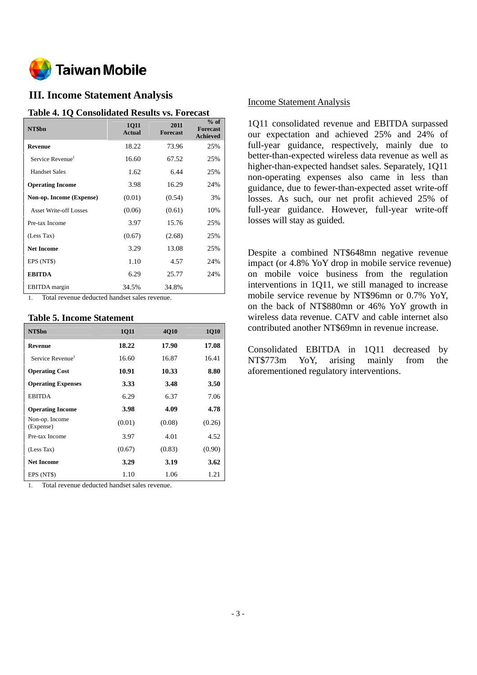

# **III. Income Statement Analysis**

#### **Table 4. 1Q Consolidated Results vs. Forecast**

| NT\$bn                        | <b>1011</b><br><b>Actual</b> | 2011<br><b>Forecast</b> | $%$ of<br><b>Forecast</b><br><b>Achieved</b> |
|-------------------------------|------------------------------|-------------------------|----------------------------------------------|
| Revenue                       | 18.22                        | 73.96                   | 25%                                          |
| Service Revenue <sup>1</sup>  | 16.60                        | 67.52                   | 25%                                          |
| <b>Handset Sales</b>          | 1.62                         | 6.44                    | 25%                                          |
| <b>Operating Income</b>       | 3.98                         | 16.29                   | 24%                                          |
| Non-op. Income (Expense)      | (0.01)                       | (0.54)                  | 3%                                           |
| <b>Asset Write-off Losses</b> | (0.06)                       | (0.61)                  | 10%                                          |
| Pre-tax Income                | 3.97                         | 15.76                   | 25%                                          |
| (Less Tax)                    | (0.67)                       | (2.68)                  | 25%                                          |
| <b>Net Income</b>             | 3.29                         | 13.08                   | 25%                                          |
| EPS (NT\$)                    | 1.10                         | 4.57                    | 24%                                          |
| <b>EBITDA</b>                 | 6.29                         | 25.77                   | 24%                                          |
| <b>EBITDA</b> margin          | 34.5%                        | 34.8%                   |                                              |

1. Total revenue deducted handset sales revenue.

#### **Table 5. Income Statement**

| NT\$bn                       | <b>1011</b> | <b>4010</b> | <b>1Q10</b> |
|------------------------------|-------------|-------------|-------------|
| Revenue                      | 18.22       | 17.90       | 17.08       |
| Service Revenue <sup>1</sup> | 16.60       | 16.87       | 16.41       |
| <b>Operating Cost</b>        | 10.91       | 10.33       | 8.80        |
| <b>Operating Expenses</b>    | 3.33        | 3.48        | 3.50        |
| <b>EBITDA</b>                | 6.29        | 6.37        | 7.06        |
| <b>Operating Income</b>      | 3.98        | 4.09        | 4.78        |
| Non-op. Income<br>(Expense)  | (0.01)      | (0.08)      | (0.26)      |
| Pre-tax Income               | 3.97        | 4.01        | 4.52        |
| (Less Tax)                   | (0.67)      | (0.83)      | (0.90)      |
| <b>Net Income</b>            | 3.29        | 3.19        | 3.62        |
| EPS (NT\$)                   | 1.10        | 1.06        | 1.21        |

1. Total revenue deducted handset sales revenue.

## Income Statement Analysis

1Q11 consolidated revenue and EBITDA surpassed our expectation and achieved 25% and 24% of full-year guidance, respectively, mainly due to better-than-expected wireless data revenue as well as higher-than-expected handset sales. Separately, 1Q11 non-operating expenses also came in less than guidance, due to fewer-than-expected asset write-off losses. As such, our net profit achieved 25% of full-year guidance. However, full-year write-off losses will stay as guided.

Despite a combined NT\$648mn negative revenue impact (or 4.8% YoY drop in mobile service revenue) on mobile voice business from the regulation interventions in 1Q11, we still managed to increase mobile service revenue by NT\$96mn or 0.7% YoY, on the back of NT\$880mn or 46% YoY growth in wireless data revenue. CATV and cable internet also contributed another NT\$69mn in revenue increase.

Consolidated EBITDA in 1Q11 decreased by NT\$773m YoY, arising mainly from the aforementioned regulatory interventions.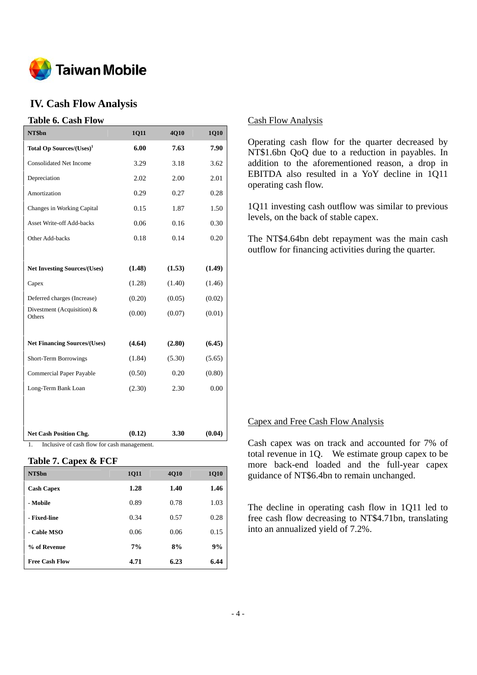

# **IV. Cash Flow Analysis**

### **Table 6. Cash Flow**

| NT\$bn                                  | <b>1Q11</b> | 4Q10   | 1Q10   |
|-----------------------------------------|-------------|--------|--------|
| Total Op Sources/(Uses) <sup>1</sup>    | 6.00        | 7.63   | 7.90   |
| <b>Consolidated Net Income</b>          | 3.29        | 3.18   | 3.62   |
| Depreciation                            | 2.02        | 2.00   | 2.01   |
| Amortization                            | 0.29        | 0.27   | 0.28   |
| Changes in Working Capital              | 0.15        | 1.87   | 1.50   |
| <b>Asset Write-off Add-backs</b>        | 0.06        | 0.16   | 0.30   |
| Other Add-backs                         | 0.18        | 0.14   | 0.20   |
|                                         |             |        |        |
| <b>Net Investing Sources/(Uses)</b>     | (1.48)      | (1.53) | (1.49) |
| Capex                                   | (1.28)      | (1.40) | (1.46) |
| Deferred charges (Increase)             | (0.20)      | (0.05) | (0.02) |
| Divestment (Acquisition) $\&$<br>Others | (0.00)      | (0.07) | (0.01) |
|                                         |             |        |        |
| <b>Net Financing Sources/(Uses)</b>     | (4.64)      | (2.80) | (6.45) |
| Short-Term Borrowings                   | (1.84)      | (5.30) | (5.65) |
| <b>Commercial Paper Payable</b>         | (0.50)      | 0.20   | (0.80) |
| Long-Term Bank Loan                     | (2.30)      | 2.30   | 0.00   |
|                                         |             |        |        |
|                                         |             |        |        |
| <b>Net Cash Position Chg.</b>           | (0.12)      | 3.30   | (0.04) |

1. Inclusive of cash flow for cash management.

#### **Table 7. Capex & FCF**

| NT\$bn                | <b>1011</b> | 4Q10 | <b>1Q10</b> |
|-----------------------|-------------|------|-------------|
| <b>Cash Capex</b>     | 1.28        | 1.40 | 1.46        |
| - Mobile              | 0.89        | 0.78 | 1.03        |
| - Fixed-line          | 0.34        | 0.57 | 0.28        |
| - Cable MSO           | 0.06        | 0.06 | 0.15        |
| % of Revenue          | 7%          | 8%   | 9%          |
| <b>Free Cash Flow</b> | 4.71        | 6.23 | 6.44        |

#### Cash Flow Analysis

Operating cash flow for the quarter decreased by NT\$1.6bn QoQ due to a reduction in payables. In addition to the aforementioned reason, a drop in EBITDA also resulted in a YoY decline in 1Q11 operating cash flow.

1Q11 investing cash outflow was similar to previous levels, on the back of stable capex.

The NT\$4.64bn debt repayment was the main cash outflow for financing activities during the quarter.

#### Capex and Free Cash Flow Analysis

Cash capex was on track and accounted for 7% of total revenue in 1Q. We estimate group capex to be more back-end loaded and the full-year capex guidance of NT\$6.4bn to remain unchanged.

The decline in operating cash flow in 1Q11 led to free cash flow decreasing to NT\$4.71bn, translating into an annualized yield of 7.2%.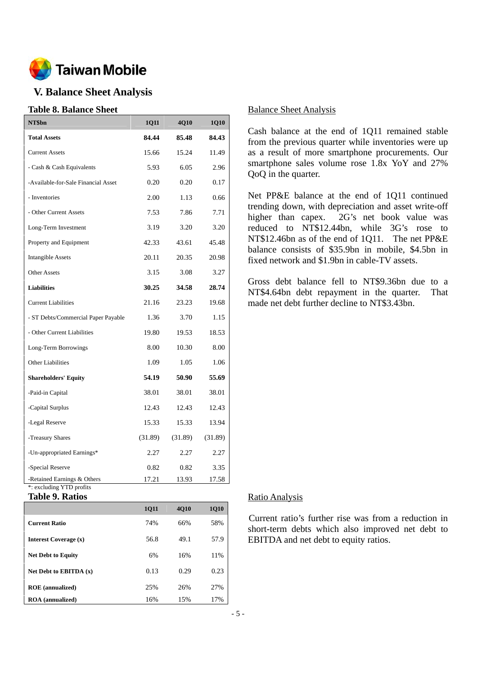

# **V. Balance Sheet Analysis**

#### **Table 8. Balance Sheet**

| NT\$bn                                                  | <b>1Q11</b> | 4Q10    | 1Q10    |
|---------------------------------------------------------|-------------|---------|---------|
| <b>Total Assets</b>                                     | 84.44       | 85.48   | 84.43   |
| <b>Current Assets</b>                                   | 15.66       | 15.24   | 11.49   |
| - Cash & Cash Equivalents                               | 5.93        | 6.05    | 2.96    |
| -Available-for-Sale Financial Asset                     | 0.20        | 0.20    | 0.17    |
| - Inventories                                           | 2.00        | 1.13    | 0.66    |
| - Other Current Assets                                  | 7.53        | 7.86    | 7.71    |
| Long-Term Investment                                    | 3.19        | 3.20    | 3.20    |
| Property and Equipment                                  | 42.33       | 43.61   | 45.48   |
| <b>Intangible Assets</b>                                | 20.11       | 20.35   | 20.98   |
| <b>Other Assets</b>                                     | 3.15        | 3.08    | 3.27    |
| <b>Liabilities</b>                                      | 30.25       | 34.58   | 28.74   |
| <b>Current Liabilities</b>                              | 21.16       | 23.23   | 19.68   |
| - ST Debts/Commercial Paper Payable                     | 1.36        | 3.70    | 1.15    |
| - Other Current Liabilities                             | 19.80       | 19.53   | 18.53   |
| Long-Term Borrowings                                    | 8.00        | 10.30   | 8.00    |
| <b>Other Liabilities</b>                                | 1.09        | 1.05    | 1.06    |
| <b>Shareholders' Equity</b>                             | 54.19       | 50.90   | 55.69   |
| -Paid-in Capital                                        | 38.01       | 38.01   | 38.01   |
| -Capital Surplus                                        | 12.43       | 12.43   | 12.43   |
| -Legal Reserve                                          | 15.33       | 15.33   | 13.94   |
| -Treasury Shares                                        | (31.89)     | (31.89) | (31.89) |
| -Un-appropriated Earnings*                              | 2.27        | 2.27    | 2.27    |
| -Special Reserve                                        | 0.82        | 0.82    | 3.35    |
| -Retained Earnings & Others<br>*: excluding YTD profits | 17.21       | 13.93   | 17.58   |

**Table 9. Ratios** 

|                           | <b>1011</b> | <b>4010</b> | <b>1Q10</b> |
|---------------------------|-------------|-------------|-------------|
| <b>Current Ratio</b>      | 74%         | 66%         | 58%         |
| Interest Coverage (x)     | 56.8        | 49.1        | 57.9        |
| <b>Net Debt to Equity</b> | 6%          | 16%         | 11%         |
| Net Debt to EBITDA $(x)$  | 0.13        | 0.29        | 0.23        |
| <b>ROE</b> (annualized)   | 25%         | 26%         | 27%         |
| <b>ROA</b> (annualized)   | 16%         | 15%         | 17%         |

#### Balance Sheet Analysis

Cash balance at the end of 1Q11 remained stable from the previous quarter while inventories were up as a result of more smartphone procurements. Our smartphone sales volume rose 1.8x YoY and 27% QoQ in the quarter.

Net PP&E balance at the end of 1Q11 continued trending down, with depreciation and asset write-off higher than capex. 2G's net book value was reduced to NT\$12.44bn, while 3G's rose to NT\$12.46bn as of the end of 1Q11. The net PP&E balance consists of \$35.9bn in mobile, \$4.5bn in fixed network and \$1.9bn in cable-TV assets.

Gross debt balance fell to NT\$9.36bn due to a NT\$4.64bn debt repayment in the quarter. That made net debt further decline to NT\$3.43bn.

#### Ratio Analysis

Current ratio's further rise was from a reduction in short-term debts which also improved net debt to EBITDA and net debt to equity ratios.